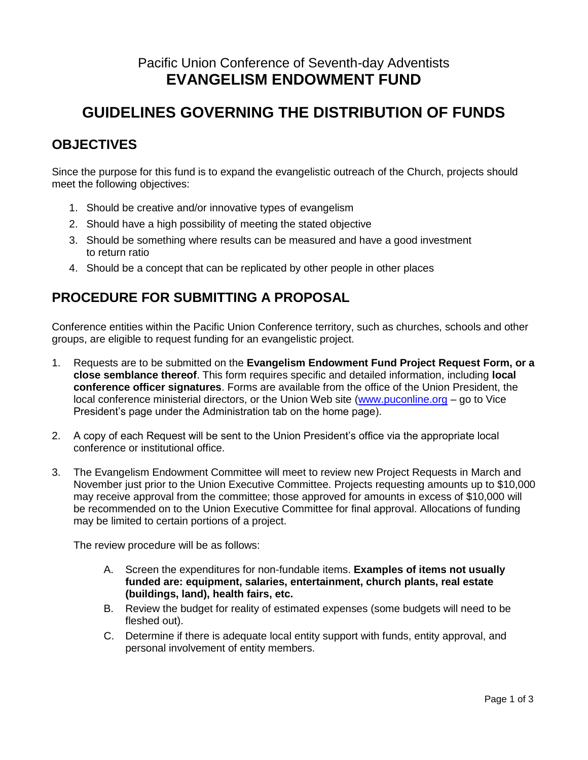# Pacific Union Conference of Seventh-day Adventists **EVANGELISM ENDOWMENT FUND**

# **GUIDELINES GOVERNING THE DISTRIBUTION OF FUNDS**

### **OBJECTIVES**

Since the purpose for this fund is to expand the evangelistic outreach of the Church, projects should meet the following objectives:

- 1. Should be creative and/or innovative types of evangelism
- 2. Should have a high possibility of meeting the stated objective
- 3. Should be something where results can be measured and have a good investment to return ratio
- 4. Should be a concept that can be replicated by other people in other places

### **PROCEDURE FOR SUBMITTING A PROPOSAL**

Conference entities within the Pacific Union Conference territory, such as churches, schools and other groups, are eligible to request funding for an evangelistic project.

- 1. Requests are to be submitted on the **Evangelism Endowment Fund Project Request Form, or a close semblance thereof**. This form requires specific and detailed information, including **local conference officer signatures**. Forms are available from the office of the Union President, the local conference ministerial directors, or the Union Web site [\(www.puconline.org](http://www.puconline.org/) – go to Vice President's page under the Administration tab on the home page).
- 2. A copy of each Request will be sent to the Union President's office via the appropriate local conference or institutional office.
- 3. The Evangelism Endowment Committee will meet to review new Project Requests in March and November just prior to the Union Executive Committee. Projects requesting amounts up to \$10,000 may receive approval from the committee; those approved for amounts in excess of \$10,000 will be recommended on to the Union Executive Committee for final approval. Allocations of funding may be limited to certain portions of a project.

The review procedure will be as follows:

- A. Screen the expenditures for non-fundable items. **Examples of items not usually funded are: equipment, salaries, entertainment, church plants, real estate (buildings, land), health fairs, etc.**
- B. Review the budget for reality of estimated expenses (some budgets will need to be fleshed out).
- C. Determine if there is adequate local entity support with funds, entity approval, and personal involvement of entity members.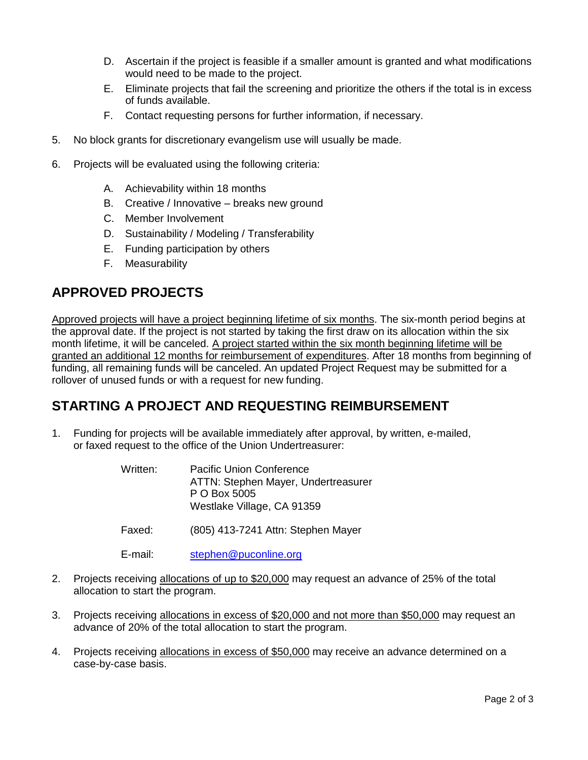- D. Ascertain if the project is feasible if a smaller amount is granted and what modifications would need to be made to the project.
- E. Eliminate projects that fail the screening and prioritize the others if the total is in excess of funds available.
- F. Contact requesting persons for further information, if necessary.
- 5. No block grants for discretionary evangelism use will usually be made.
- 6. Projects will be evaluated using the following criteria:
	- A. Achievability within 18 months
	- B. Creative / Innovative breaks new ground
	- C. Member Involvement
	- D. Sustainability / Modeling / Transferability
	- E. Funding participation by others
	- F. Measurability

#### **APPROVED PROJECTS**

Approved projects will have a project beginning lifetime of six months. The six-month period begins at the approval date. If the project is not started by taking the first draw on its allocation within the six month lifetime, it will be canceled. A project started within the six month beginning lifetime will be granted an additional 12 months for reimbursement of expenditures. After 18 months from beginning of funding, all remaining funds will be canceled. An updated Project Request may be submitted for a rollover of unused funds or with a request for new funding.

#### **STARTING A PROJECT AND REQUESTING REIMBURSEMENT**

- 1. Funding for projects will be available immediately after approval, by written, e-mailed, or faxed request to the office of the Union Undertreasurer:
	- Written: Pacific Union Conference ATTN: Stephen Mayer, Undertreasurer P O Box 5005 Westlake Village, CA 91359
	- Faxed: (805) 413-7241 Attn: Stephen Mayer

E-mail: [stephen@puconline.org](mailto:stephen@puconline.org) 

- 2. Projects receiving allocations of up to \$20,000 may request an advance of 25% of the total allocation to start the program.
- 3. Projects receiving allocations in excess of \$20,000 and not more than \$50,000 may request an advance of 20% of the total allocation to start the program.
- 4. Projects receiving allocations in excess of \$50,000 may receive an advance determined on a case-by-case basis.